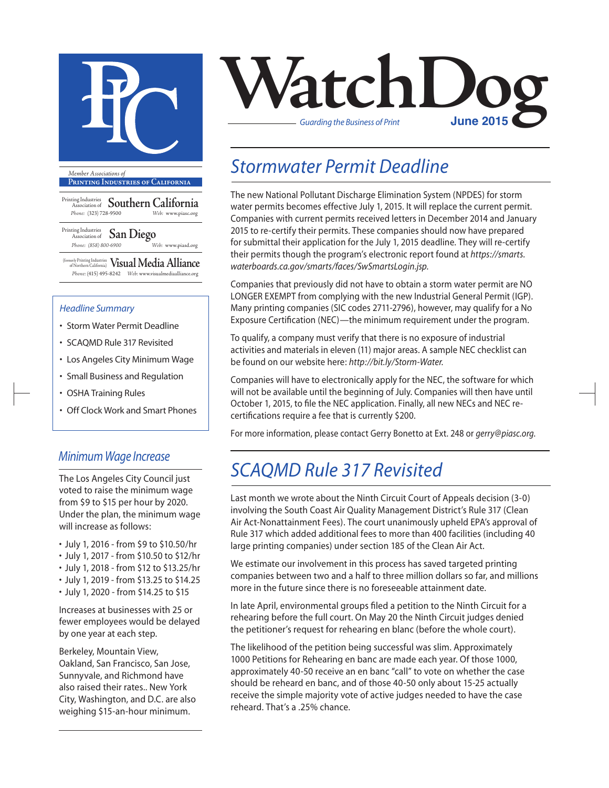

**Printing Industries of California**

Printing Industries Association of **Southern California** *Phone:* (323) 728-9500 *Web:* www.piasc.org

Printing Industries Association of **San Diego** *Phone: (858) 800-6900 Web:* www.piasd.org

(formerly Printing Industries of Northern California) **Visual Media Alliance** *Phone:* (415) 495-8242 *Web:* www.visualmediaalliance.org

#### *Headline Summary*

- Storm Water Permit Deadline
- SCAQMD Rule 317 Revisited
- Los Angeles City Minimum Wage
- Small Business and Regulation
- OSHA Training Rules
- Off Clock Work and Smart Phones

#### *Minimum Wage Increase*

The Los Angeles City Council just voted to raise the minimum wage from \$9 to \$15 per hour by 2020. Under the plan, the minimum wage will increase as follows:

- July 1, 2016 from \$9 to \$10.50/hr
- July 1, 2017 from \$10.50 to \$12/hr
- July 1, 2018 from \$12 to \$13.25/hr
- July 1, 2019 from \$13.25 to \$14.25
- July 1, 2020 from \$14.25 to \$15

Increases at businesses with 25 or fewer employees would be delayed by one year at each step.

Berkeley, Mountain View, Oakland, San Francisco, San Jose, Sunnyvale, and Richmond have also raised their rates.. New York City, Washington, and D.C. are also weighing \$15-an-hour minimum.



### *Stormwater Permit Deadline*

The new National Pollutant Discharge Elimination System (NPDES) for storm water permits becomes effective July 1, 2015. It will replace the current permit. Companies with current permits received letters in December 2014 and January 2015 to re-certify their permits. These companies should now have prepared for submittal their application for the July 1, 2015 deadline. They will re-certify their permits though the program's electronic report found at *https://smarts. waterboards.ca.gov/smarts/faces/SwSmartsLogin.jsp.* 

Companies that previously did not have to obtain a storm water permit are NO LONGER EXEMPT from complying with the new Industrial General Permit (IGP). Many printing companies (SIC codes 2711-2796), however, may qualify for a No Exposure Certification (NEC)—the minimum requirement under the program.

To qualify, a company must verify that there is no exposure of industrial activities and materials in eleven (11) major areas. A sample NEC checklist can be found on our website here: *http://bit.ly/Storm-Water.*

Companies will have to electronically apply for the NEC, the software for which will not be available until the beginning of July. Companies will then have until October 1, 2015, to file the NEC application. Finally, all new NECs and NEC recertifications require a fee that is currently \$200.

For more information, please contact Gerry Bonetto at Ext. 248 or *gerry@piasc.org*.

### *SCAQMD Rule 317 Revisited*

Last month we wrote about the Ninth Circuit Court of Appeals decision (3-0) involving the South Coast Air Quality Management District's Rule 317 (Clean Air Act-Nonattainment Fees). The court unanimously upheld EPA's approval of Rule 317 which added additional fees to more than 400 facilities (including 40 large printing companies) under section 185 of the Clean Air Act.

We estimate our involvement in this process has saved targeted printing companies between two and a half to three million dollars so far, and millions more in the future since there is no foreseeable attainment date.

In late April, environmental groups filed a petition to the Ninth Circuit for a rehearing before the full court. On May 20 the Ninth Circuit judges denied the petitioner's request for rehearing en blanc (before the whole court).

The likelihood of the petition being successful was slim. Approximately 1000 Petitions for Rehearing en banc are made each year. Of those 1000, approximately 40-50 receive an en banc "call" to vote on whether the case should be reheard en banc, and of those 40-50 only about 15-25 actually receive the simple majority vote of active judges needed to have the case reheard. That's a .25% chance.